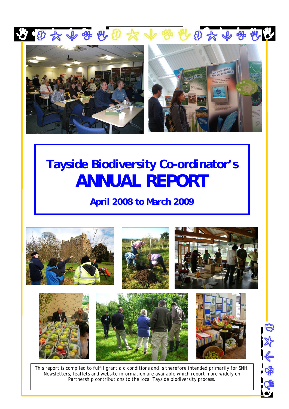



# **Tayside Biodiversity Co-ordinator's ANNUAL REPORT**

**April 2008 to March 2009**



*This report is compiled to fulfil grant aid conditions and is therefore intended primarily for SNH. Newsletters, leaflets and website information are available which report more widely on Partnership contributions to the local Tayside biodiversity process.* 

的外令学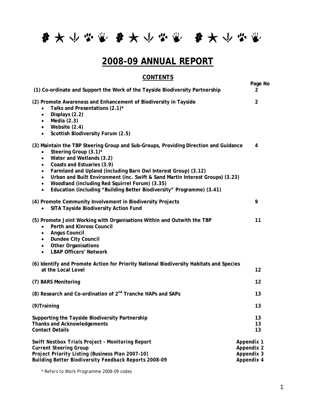每天小学家 每天小学家 每天小学家

## **2008-09 ANNUAL REPORT**

## **CONTENTS**

| (1) Co-ordinate and Support the Work of the Tayside Biodiversity Partnership                                                                                                                                                                                                                                                                                                                                                                                                                                                        | Page No<br>2   |
|-------------------------------------------------------------------------------------------------------------------------------------------------------------------------------------------------------------------------------------------------------------------------------------------------------------------------------------------------------------------------------------------------------------------------------------------------------------------------------------------------------------------------------------|----------------|
| (2) Promote Awareness and Enhancement of Biodiversity in Tayside<br>Talks and Presentations (2.1)*<br>Displays (2.2)<br>$\bullet$<br>Media $(2.3)$<br>$\bullet$<br>Website (2.4)<br>$\bullet$<br>Scottish Biodiversity Forum (2.5)<br>$\bullet$                                                                                                                                                                                                                                                                                     | $\overline{2}$ |
| (3) Maintain the TBP Steering Group and Sub-Groups, Providing Direction and Guidance<br>Steering Group (3.1)*<br>Water and Wetlands (3.2)<br>$\bullet$<br>Coasts and Estuaries (3.9)<br>$\bullet$<br>Farmland and Upland (including Barn Owl Interest Group) (3.12)<br>$\bullet$<br>Urban and Built Environment (inc. Swift & Sand Martin Interest Groups) (3.23)<br>$\bullet$<br>Woodland (including Red Squirrel Forum) (3.35)<br>$\bullet$<br>Education (including "Building Better Biodiversity" Programme) (3.41)<br>$\bullet$ | 4              |
| (4) Promote Community Involvement in Biodiversity Projects<br>SITA Tayside Biodiversity Action Fund                                                                                                                                                                                                                                                                                                                                                                                                                                 | 9              |
| (5) Promote Joint Working with Organisations Within and Outwith the TBP<br><b>Perth and Kinross Council</b><br><b>Angus Council</b><br>$\bullet$<br><b>Dundee City Council</b><br>$\bullet$<br><b>Other Organisations</b><br>$\bullet$<br><b>LBAP Officers' Network</b><br>$\bullet$                                                                                                                                                                                                                                                | 11             |
| (6) Identify and Promote Action for Priority National Biodiversity Habitats and Species<br>at the Local Level                                                                                                                                                                                                                                                                                                                                                                                                                       | 12             |
| (7) BARS Monitoring                                                                                                                                                                                                                                                                                                                                                                                                                                                                                                                 | 12             |
| (8) Research and Co-ordination of 2 <sup>nd</sup> Tranche HAPs and SAPs                                                                                                                                                                                                                                                                                                                                                                                                                                                             | 13             |
| (9) Training                                                                                                                                                                                                                                                                                                                                                                                                                                                                                                                        | 13             |
| Supporting the Tayside Biodiversity Partnership<br><b>Thanks and Acknowledgements</b><br><b>Contact Details</b>                                                                                                                                                                                                                                                                                                                                                                                                                     | 13<br>13<br>13 |
| <b>Swift Nestbox Trials Project - Monitoring Report</b><br>Appendix 1<br><b>Current Steering Group</b><br>Appendix 2<br>Project Priority Listing (Business Plan 2007-10)<br>Appendix 3<br>Appendix 4<br>Building Better Biodiversity Feedback Reports 2008-09                                                                                                                                                                                                                                                                       |                |

*\* Refers to Work Programme 2008-09 codes*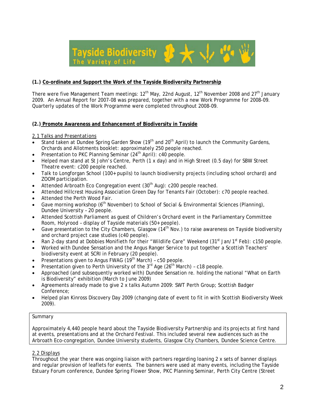

#### **(1.) Co-ordinate and Support the Work of the Tayside Biodiversity Partnership**

There were five Management Team meetings:  $12<sup>th</sup>$  May, 22nd August,  $12<sup>th</sup>$  November 2008 and 27<sup>th</sup> January 2009. An Annual Report for 2007-08 was prepared, together with a new Work Programme for 2008-09. Quarterly updates of the Work Programme were completed throughout 2008-09.

#### **(2.) Promote Awareness and Enhancement of Biodiversity in Tayside**

#### *2.1 Talks and Presentations*

- Stand taken at Dundee Spring Garden Show (19<sup>th</sup> and 20<sup>th</sup> April) to launch the Community Gardens, Orchards and Allotments booklet: approximately 250 people reached.
- Presentation to PKC Planning Seminar  $(24<sup>th</sup>$  April): c40 people.
- Helped man stand at St John's Centre, Perth (1 x day) and in High Street (0.5 day) for SBW Street Theatre event: c200 people reached.
- Talk to Longforgan School (100+ pupils) to launch biodiversity projects (including school orchard) and ZOOM participation.
- Attended Arbroath Eco Congregation event (30<sup>th</sup> Aug): c200 people reached.
- Attended Hillcrest Housing Association Green Day for Tenants Fair (October): c70 people reached.
- Attended the Perth Wood Fair.
- Gave morning workshop (6<sup>th</sup> November) to School of Social & Environmental Sciences (Planning), Dundee University – 20 people.
- Attended Scottish Parliament as guest of Children's Orchard event in the Parliamentary Committee Room, Holyrood – display of Tayside materials (50+ people).
- Gave presentation to the City Chambers, Glasgow (14<sup>th</sup> Nov.) to raise awareness on Tayside biodiversity and orchard project case studies (c40 people).
- Ran 2-day stand at Dobbies Monifieth for their "Wildlife Care" Weekend (31<sup>st</sup> Jan/1<sup>st</sup> Feb): c150 people.
- Worked with Dundee Sensation and the Angus Ranger Service to put together a Scottish Teachers' biodiversity event at SCRI in February (20 people).
- Presentations given to Angus FWAG (19<sup>th</sup> March) c50 people.
- Presentation given to Perth University of the  $3<sup>rd</sup>$  Age (26<sup>th</sup> March) c18 people.
- Approached (and subsequently worked with) Dundee Sensation re. holding the national "What on Earth is Biodiversity" exhibition (March to June 2009)
- Agreements already made to give 2 x talks Autumn 2009: SWT Perth Group; Scottish Badger Conference;
- Helped plan Kinross Discovery Day 2009 (changing date of event to fit in with Scottish Biodiversity Week 2009).

#### Summary

Approximately 4,440 people heard about the Tayside Biodiversity Partnership and its projects at first hand at events, presentations and at the Orchard Festival. This included several new audiences such as the Arbroath Eco-congregation, Dundee University students, Glasgow City Chambers, Dundee Science Centre.

#### *2.2 Displays*

Throughout the year there was ongoing liaison with partners regarding loaning 2 x sets of banner displays and regular provision of leaflets for events. The banners were used at many events, including the Tayside Estuary Forum conference, Dundee Spring Flower Show, PKC Planning Seminar, Perth City Centre (Street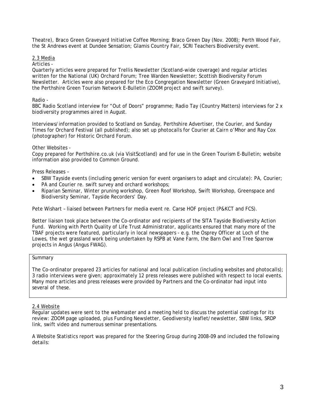Theatre), Braco Green Graveyard Initiative Coffee Morning; Braco Green Day (Nov. 2008); Perth Wood Fair, the St Andrews event at Dundee Sensation; Glamis Country Fair, SCRI Teachers Biodiversity event.

#### *2.3 Media*

#### Articles -

Quarterly articles were prepared for Trellis Newsletter (Scotland-wide coverage) and regular articles written for the National (UK) Orchard Forum; Tree Warden Newsletter; Scottish Biodiversity Forum Newsletter. Articles were also prepared for the Eco Congregation Newsletter (Green Graveyard Initiative), the Perthshire Green Tourism Network E-Bulletin (ZOOM project and swift survey).

#### Radio -

BBC Radio Scotland interview for "Out of Doors" programme; Radio Tay (Country Matters) interviews for 2 x biodiversity programmes aired in August.

Interviews/information provided to Scotland on Sunday, Perthshire Advertiser, the Courier, and Sunday Times for Orchard Festival (all published); also set up photocalls for Courier at Cairn o'Mhor and Ray Cox (photographer) for Historic Orchard Forum.

#### Other Websites -

Copy prepared for Perthshire.co.uk (via VisitScotland) and for use in the Green Tourism E-Bulletin; website information also provided to Common Ground.

#### Press Releases –

- SBW Tayside events (including generic version for event organisers to adapt and circulate): PA, Courier;
- PA and Courier re. swift survey and orchard workshops;
- Riparian Seminar, Winter pruning workshop, Green Roof Workshop, Swift Workshop, Greenspace and Biodiversity Seminar, Tayside Recorders' Day.

Pete Wishart – liaised between Partners for media event re. Carse HOF project (P&KCT and FCS).

Better liaison took place between the Co-ordinator and recipients of the SITA Tayside Biodiversity Action Fund. Working with Perth Quality of Life Trust Administrator, applicants ensured that many more of the TBAF projects were featured, particularly in local newspapers - e.g. the Osprey Officer at Loch of the Lowes, the wet grassland work being undertaken by RSPB at Vane Farm, the Barn Owl and Tree Sparrow projects in Angus (Angus FWAG).

#### Summary

The Co-ordinator prepared 23 articles for national and local publication (including websites and photocalls); 3 radio interviews were given; approximately 12 press releases were published with respect to local events. Many more articles and press releases were provided by Partners and the Co-ordinator had input into several of these.

#### *2.4 Website*

Regular updates were sent to the webmaster and a meeting held to discuss the potential costings for its review: ZOOM page uploaded, plus Funding Newsletter, Geodiversity leaflet/newsletter, SBW links, SRDP link, swift video and numerous seminar presentations.

A Website Statistics report was prepared for the Steering Group during 2008-09 and included the following details: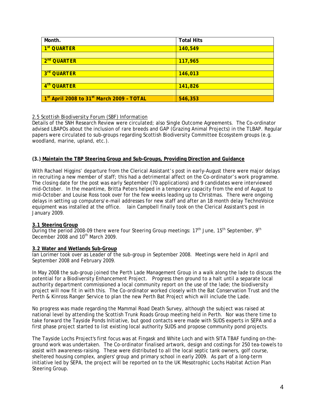| Month.                                                            | <b>Total Hits</b> |
|-------------------------------------------------------------------|-------------------|
| 1 <sup>st</sup> QUARTER                                           | 140,549           |
|                                                                   |                   |
| 2 <sup>nd</sup> QUARTER                                           | 117,965           |
|                                                                   |                   |
| 3rd QUARTER                                                       | 146,013           |
|                                                                   |                   |
| 4 <sup>th</sup> QUARTER                                           | 141,826           |
|                                                                   |                   |
| 1 <sup>st</sup> April 2008 to 31 <sup>st</sup> March 2009 - TOTAL | 546,353           |

#### *2.5 Scottish Biodiversity Forum (SBF) Information*

Details of the SNH Research Review were circulated; also Single Outcome Agreements. The Co-ordinator advised LBAPOs about the inclusion of rare breeds and GAP (Grazing Animal Projects) in the TLBAP. Regular papers were circulated to sub-groups regarding Scottish Biodiversity Committee Ecosystem groups (e.g. woodland, marine, upland, etc.).

#### **(3.) Maintain the TBP Steering Group and Sub-Groups, Providing Direction and Guidance**

With Rachael Higgins' departure from the Clerical Assistant's post in early-August there were major delays in recruiting a new member of staff; this had a detrimental affect on the Co-ordinator's work programme. The closing date for the post was early September (70 applications) and 9 candidates were interviewed mid-October. In the meantime, Britta Peters helped in a temporary capacity from the end of August to mid-October and Louise Ross took over for the few weeks leading up to Christmas. There were ongoing delays in setting up computers/e-mail addresses for new staff and after an 18 month delay TechnoVoice equipment was installed at the office. Iain Campbell finally took on the Clerical Assistant's post in January 2009.

#### **3.1 Steering Group**

During the period 2008-09 there were four Steering Group meetings:  $17<sup>th</sup>$  June,  $15<sup>th</sup>$  September, 9<sup>th</sup> December 2008 and  $10<sup>th</sup>$  March 2009.

#### **3.2 Water and Wetlands Sub-Group**

Ian Lorimer took over as Leader of the sub-group in September 2008. Meetings were held in April and September 2008 and February 2009.

In May 2008 the sub-group joined the Perth Lade Management Group in a walk along the lade to discuss the potential for a Biodiversity Enhancement Project. Progress then ground to a halt until a separate local authority department commissioned a local community report on the use of the lade; the biodiversity project will now fit in with this. The Co-ordinator worked closely with the Bat Conservation Trust and the Perth & Kinross Ranger Service to plan the new Perth Bat Project which will include the Lade.

No progress was made regarding the Mammal Road Death Survey, although the subject was raised at national level by attending the Scottish Trunk Roads Group meeting held in Perth. Nor was there time to take forward the Tayside Ponds Initiative, but good contacts were made with SUDS experts in SEPA and a first phase project started to list existing local authority SUDS and propose community pond projects.

The Tayside Lochs Project's first focus was at Fingask and White Loch and with SITA TBAF funding on-theground work was undertaken. The Co-ordinator finalised artwork, design and costings for 250 tea-towels to assist with awareness-raising. These were distributed to all the local septic tank owners, golf course, sheltered housing complex, anglers' group and primary school in early 2009. As part of a long-term initiative led by SEPA, the project will be reported on to the UK Mesotrophic Lochs Habitat Action Plan Steering Group.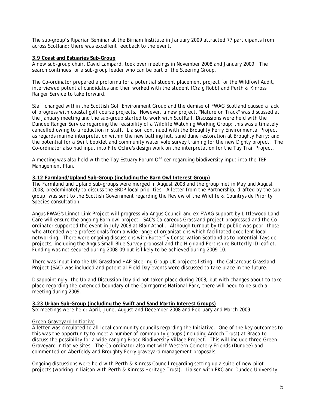The sub-group's Riparian Seminar at the Birnam Institute in January 2009 attracted 77 participants from across Scotland; there was excellent feedback to the event.

#### **3.9 Coast and Estuaries Sub-Group**

A new sub-group chair, David Lampard, took over meetings in November 2008 and January 2009. The search continues for a sub-group leader who can be part of the Steering Group.

The Co-ordinator prepared a proforma for a potential student placement project for the Wildfowl Audit, interviewed potential candidates and then worked with the student (Craig Robb) and Perth & Kinross Ranger Service to take forward.

Staff changed within the Scottish Golf Environment Group and the demise of FWAG Scotland caused a lack of progress with coastal golf course projects. However, a new project, "Nature on Track" was discussed at the January meeting and the sub-group started to work with ScotRail. Discussions were held with the Dundee Ranger Service regarding the feasibility of a Wildlife Watching Working Group; this was ultimately cancelled owing to a reduction in staff. Liaison continued with the Broughty Ferry Environmental Project as regards marine interpretation within the new bathing hut, sand dune restoration at Broughty Ferry; and the potential for a Swift booklet and community water vole survey training for the new Dighty project. The Co-ordinator also had input into Fife Ochre's design work on the interpretation for the Tay Trail Project.

A meeting was also held with the Tay Estuary Forum Officer regarding biodiversity input into the TEF Management Plan.

#### **3.12 Farmland/Upland Sub-Group (including the Barn Owl Interest Group)**

The Farmland and Upland sub-groups were merged in August 2008 and the group met in May and August 2008, predominately to discuss the SRDP local priorities. A letter from the Partnership, drafted by the subgroup, was sent to the Scottish Government regarding the Review of the Wildlife & Countryside Priority Species consultation.

Angus FWAG's Linnet Link Project will progress via Angus Council and ex-FWAG support by Littlewood Land Care will ensure the ongoing Barn owl project. SAC's Calcareous Grassland project progressed and the Coordinator supported the event in July 2008 at Blair Atholl. Although turnout by the public was poor, those who attended were professionals from a wide range of organisations which facilitated excellent local networking. There were ongoing discussions with Butterfly Conservation Scotland as to potential Tayside projects, including the Angus Small Blue Survey proposal and the Highland Perthshire Butterfly ID leaflet. Funding was not secured during 2008-09 but is likely to be achieved during 2009-10.

There was input into the UK Grassland HAP Steering Group UK projects listing – the Calcareous Grassland Project (SAC) was included and potential Field Day events were discussed to take place in the future.

Disappointingly, the Upland Discussion Day did not taken place during 2008, but with changes about to take place regarding the extended boundary of the Cairngorms National Park, there will need to be such a meeting during 2009.

**3.23 Urban Sub-Group (including the Swift and Sand Martin Interest Groups)** Six meetings were held: April, June, August and December 2008 and February and March 2009.

#### *Green Graveyard Initiative*

A letter was circulated to all local community councils regarding the Initiative. One of the key outcomes to this was the opportunity to meet a number of community groups (including Ardoch Trust) at Braco to discuss the possibility for a wide-ranging Braco Biodiversity Village Project. This will include three Green Graveyard Initiative sites. The Co-ordinator also met with Western Cemetery Friends (Dundee) and commented on Aberfeldy and Broughty Ferry graveyard management proposals.

Ongoing discussions were held with Perth & Kinross Council regarding setting up a suite of new pilot projects (working in liaison with Perth & Kinross Heritage Trust). Liaison with PKC and Dundee University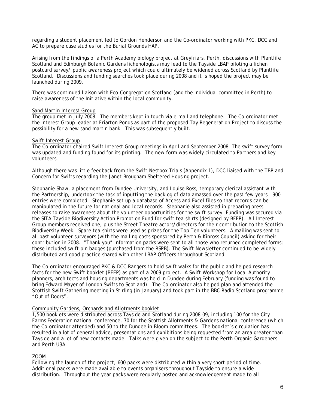regarding a student placement led to Gordon Henderson and the Co-ordinator working with PKC, DCC and AC to prepare case studies for the Burial Grounds HAP.

Arising from the findings of a Perth Academy biology project at Greyfriars, Perth, discussions with Plantlife Scotland and Edinburgh Botanic Gardens lichenologists may lead to the Tayside LBAP piloting a lichen postcard survey/ public awareness project which could ultimately be widened across Scotland by Plantlife Scotland. Discussions and funding searches took place during 2008 and it is hoped the project may be launched during 2009.

There was continued liaison with Eco-Congregation Scotland (and the individual committee in Perth) to raise awareness of the Initiative within the local community.

#### *Sand Martin Interest Group*

The group met in July 2008. The members kept in touch via e-mail and telephone. The Co-ordinator met the Interest Group leader at Friarton Ponds as part of the proposed Tay Regeneration Project to discuss the possibility for a new sand martin bank. This was subsequently built.

#### *Swift Interest Group*

The Co-ordinator chaired Swift Interest Group meetings in April and September 2008. The swift survey form was updated and funding found for its printing. The new form was widely circulated to Partners and key volunteers.

Although there was little feedback from the Swift Nestbox Trials (Appendix 1), DCC liaised with the TBP and Concern for Swifts regarding the Janet Brougham Sheltered Housing project.

Stephanie Shaw, a placement from Dundee University, and Louise Ross, temporary clerical assistant with the Partnership, undertook the task of inputting the backlog of data amassed over the past few years – 900 entries were completed. Stephanie set up a database of Access and Excel files so that records can be manipulated in the future for national and local records. Stephanie also assisted in preparing press releases to raise awareness about the volunteer opportunities for the swift survey. Funding was secured via the SITA Tayside Biodiversity Action Promotion Fund for swift tea-shirts (designed by BFEP). All Interest Group members received one, plus the Street Theatre actors/directors for their contribution to the Scottish Biodiversity Week. Spare tea-shirts were used as prizes for the Top Ten volunteers. A mailing was sent to all past volunteer surveyors (with the mailing costs sponsored by Perth & Kinross Council) asking for their contribution in 2008. "Thank you" information packs were sent to all those who returned completed forms; these included swift pin badges (purchased from the RSPB). The Swift Newsletter continued to be widely distributed and good practice shared with other LBAP Officers throughout Scotland.

The Co-ordinator encouraged PKC & DCC Rangers to hold swift walks for the public and helped research facts for the new Swift booklet (BFEP) as part of a 2009 project. A Swift Workshop for Local Authority planners, architects and housing departments was held in Dundee during February (funding was found to bring Edward Mayer of London Swifts to Scotland). The Co-ordinator also helped plan and attended the Scottish Swift Gathering meeting in Stirling (in January) and took part in the BBC Radio Scotland programme "Out of Doors".

#### *Community Gardens, Orchards and Allotments booklet*

1,500 booklets were distributed across Tayside and Scotland during 2008-09, including 100 for the City Farms Federation national conference, 70 for the Scottish Allotments & Gardens national conference (which the Co-ordinator attended) and 50 to the Dundee in Bloom committees. The booklet's circulation has resulted in a lot of general advice, presentations and exhibitions being requested from an area greater than Tayside and a lot of new contacts made. Talks were given on the subject to the Perth Organic Gardeners and Perth U3A.

#### *ZOOM*

Following the launch of the project, 600 packs were distributed within a very short period of time. Additional packs were made available to events organisers throughout Tayside to ensure a wide distribution. Throughout the year packs were regularly posted and acknowledgement made to all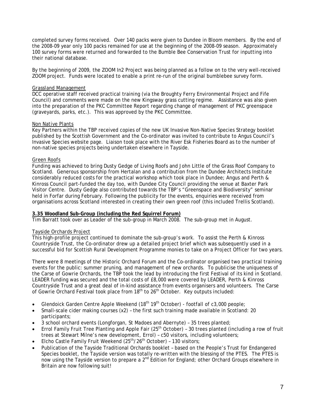completed survey forms received. Over 140 packs were given to Dundee in Bloom members. By the end of the 2008-09 year only 100 packs remained for use at the beginning of the 2008-09 season. Approximately 100 survey forms were returned and forwarded to the Bumble Bee Conservation Trust for inputting into their national database.

By the beginning of 2009, the ZOOM In2 Project was being planned as a follow on to the very well-received ZOOM project. Funds were located to enable a print re-run of the original bumblebee survey form.

#### *Grassland Management*

DCC operative staff received practical training (via the Broughty Ferry Environmental Project and Fife Council) and comments were made on the new Kingsway grass cutting regime. Assistance was also given into the preparation of the PKC Committee Report regarding change of management of PKC greenspace (graveyards, parks, etc.). This was approved by the PKC Committee.

#### *Non Native Plants*

Key Partners within the TBP received copies of the new UK Invasive Non-Native Species Strategy booklet published by the Scottish Government and the Co-ordinator was invited to contribute to Angus Council's Invasive Species website page. Liaison took place with the River Esk Fisheries Board as to the number of non-native species projects being undertaken elsewhere in Tayside.

#### *Green Roofs*

Funding was achieved to bring Dusty Gedge of Living Roofs and John Little of the Grass Roof Company to Scotland. Generous sponsorship from Hertalan and a contribution from the Dundee Architects Institute considerably reduced costs for the practical workshop which took place in Dundee; Angus and Perth & Kinross Council part-funded the day too, with Dundee City Council providing the venue at Baxter Park Visitor Centre. Dusty Gedge also contributed towards the TBP's "Greenspace and Biodiversity" seminar held in Forfar during February. Following the publicity for the events, enquiries were received from organisations across Scotland interested in creating their own green roof (this included Trellis Scotland).

#### **3.35 Woodland Sub-Group (including the Red Squirrel Forum)**

Tim Barratt took over as Leader of the sub-group in March 2008. The sub-group met in August.

#### *Tayside Orchards Project*

This high-profile project continued to dominate the sub-group's work. To assist the Perth & Kinross Countryside Trust, the Co-ordinator drew up a detailed project brief which was subsequently used in a successful bid for Scottish Rural Development Programme monies to take on a Project Officer for two years.

There were 8 meetings of the Historic Orchard Forum and the Co-ordinator organised two practical training events for the public: summer pruning, and management of new orchards. To publicise the uniqueness of the Carse of Gowrie Orchards, the TBP took the lead by introducing the first Festival of its kind in Scotland. LEADER funding was secured and the total costs of £8,000 were covered by LEADER, Perth & Kinross Countryside Trust and a great deal of in-kind assistance from events organisers and volunteers. The Carse of Gowrie Orchard Festival took place from 18<sup>th</sup> to 26<sup>th</sup> October. Key outputs included:

- Glendoick Garden Centre Apple Weekend  $(18<sup>th</sup> 19<sup>th</sup> October)$  footfall of c3,000 people;
- Small-scale cider making courses (x2) the first such training made available in Scotland: 20 participants;
- 3 school orchard events (Longforgan, St Madoes and Abernyte) 35 trees planted;
- Errol Family Fruit Tree Planting and Apple Fair  $(25<sup>th</sup> October) 30$  trees planted (including a row of fruit trees at Stewart Milne's new development, Errol) – c50 visitors, including volunteers;
- Elcho Castle Family Fruit Weekend (25<sup>th</sup>/26<sup>th</sup> October) 130 visitors;
- Publication of the Tayside Traditional Orchards booklet based on the People's Trust for Endangered Species booklet, the Tayside version was totally re-written with the blessing of the PTES. The PTES is now using the Tayside version to prepare a 2<sup>nd</sup> Edition for England; other Orchard Groups elsewhere in Britain are now following suit!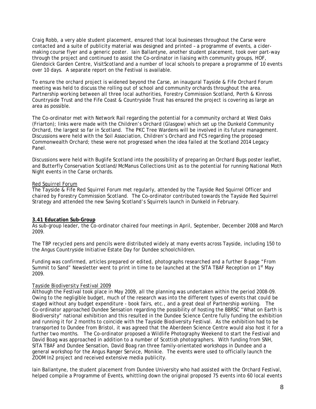Craig Robb, a very able student placement, ensured that local businesses throughout the Carse were contacted and a suite of publicity material was designed and printed – a programme of events, a cidermaking course flyer and a generic poster. Iain Ballantyne, another student placement, took over part-way through the project and continued to assist the Co-ordinator in liaising with community groups, HOF, Glendoick Garden Centre, VisitScotland and a number of local schools to prepare a programme of 10 events over 10 days. A separate report on the Festival is available.

To ensure the orchard project is widened beyond the Carse, an inaugural Tayside & Fife Orchard Forum meeting was held to discuss the rolling out of school and community orchards throughout the area. Partnership working between all three local authorities, Forestry Commission Scotland, Perth & Kinross Countryside Trust and the Fife Coast & Countryside Trust has ensured the project is covering as large an area as possible.

The Co-ordinator met with Network Rail regarding the potential for a community orchard at West Oaks (Friarton); links were made with the Children's Orchard (Glasgow) which set up the Dunkeld Community Orchard, the largest so far in Scotland. The PKC Tree Wardens will be involved in its future management. Discussions were held with the Soil Association, Children's Orchard and FCS regarding the proposed Commonwealth Orchard; these were not progressed when the idea failed at the Scotland 2014 Legacy Panel.

Discussions were held with Buglife Scotland into the possibility of preparing an Orchard Bugs poster leaflet, and Butterfly Conservation Scotland/McManus Collections Unit as to the potential for running National Moth Night events in the Carse orchards.

#### *Red Squirrel Forum*

The Tayside & Fife Red Squirrel Forum met regularly, attended by the Tayside Red Squirrel Officer and chaired by Forestry Commission Scotland. The Co-ordinator contributed towards the Tayside Red Squirrel Strategy and attended the new Saving Scotland's Squirrels launch in Dunkeld in February.

#### **3.41 Education Sub-Group**

As sub-group leader, the Co-ordinator chaired four meetings in April, September, December 2008 and March 2009.

The TBP recycled pens and pencils were distributed widely at many events across Tayside, including 150 to the Angus Countryside Initiative Estate Day for Dundee schoolchildren.

Funding was confirmed, articles prepared or edited, photographs researched and a further 8-page "From Summit to Sand" Newsletter went to print in time to be launched at the SITA TBAF Reception on 1<sup>st</sup> May 2009.

#### *Tayside Biodiversity Festival 2009*

Although the Festival took place in May 2009, all the planning was undertaken within the period 2008-09. Owing to the negligible budget, much of the research was into the different types of events that could be staged without any budget expenditure - book fairs, etc., and a great deal of Partnership working. The Co-ordinator approached Dundee Sensation regarding the possibility of hosting the BBRSC "What on Earth is Biodiversity" national exhibition and this resulted in the Dundee Science Centre fully funding the exhibition and running it for 2 months to coincide with the Tayside Biodiversity Festival. As the exhibition had to be transported to Dundee from Bristol, it was agreed that the Aberdeen Science Centre would also host it for a further two months. The Co-ordinator proposed a Wildlife Photography Weekend to start the Festival and David Boag was approached in addition to a number of Scottish photographers. With funding from SNH, SITA TBAF and Dundee Sensation, David Boag ran three family-orientated workshops in Dundee and a general workshop for the Angus Ranger Service, Monikie. The events were used to officially launch the ZOOM In2 project and received extensive media publicity.

Iain Ballantyne, the student placement from Dundee University who had assisted with the Orchard Festival, helped compile a Programme of Events, whittling down the original proposed 75 events into 60 local events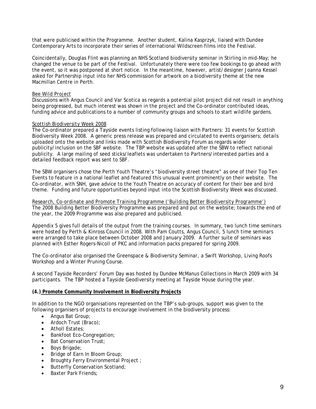that were publicised within the Programme. Another student, Kalina Kasprzyk, liaised with Dundee Contemporary Arts to incorporate their series of international Wildscreen films into the Festival.

Coincidentally, Douglas Flint was planning an NHS Scotland biodiversity seminar in Stirling in mid-May; he changed the venue to be part of the Festival. Unfortunately there were too few bookings to go ahead with the event, so it was postponed at short notice. In the meantime, however, artist/designer Joanna Kessel asked for Partnership input into her NHS commission for artwork on a biodiversity theme at the new Macmillan Centre in Perth.

#### *Bee Wild Project*

Discussions with Angus Council and Var Scotica as regards a potential pilot project did not result in anything being progressed, but much interest was shown in the project and the Co-ordinator contributed ideas, funding advice and publications to a number of community groups and schools to start wildlife gardens.

#### *Scottish Biodiversity Week 2008*

The Co-ordinator prepared a Tayside events listing following liaison with Partners: 31 events for Scottish Biodiversity Week 2008. A generic press release was prepared and circulated to events organisers; details uploaded onto the website and links made with Scottish Biodiversity Forum as regards wider publicity/inclusion on the SBF website. The TBP website was updated after the SBW to reflect national publicity. A large mailing of seed sticks/leaflets was undertaken to Partners/interested parties and a detailed feedback report was sent to SBF.

The SBW organisers chose the Perth Youth Theatre's "biodiversity street theatre" as one of their Top Ten Events to feature in a national leaflet and featured this unusual event prominently on their website. The Co-ordinator, with SNH, gave advice to the Youth Theatre on accuracy of content for their bee and bird theme. Funding and future opportunities beyond input into the Scottish Biodiversity Week was discussed.

*Research, Co-ordinate and Promote Training Programme ('Building Better Biodiversity Programme')* The 2008 Building Better Biodiversity Programme was prepared and put on the website; towards the end of the year, the 2009 Programme was also prepared and publicised.

Appendix 5 gives full details of the output from the training courses. In summary, two lunch time seminars were hosted by Perth & Kinross Council in 2008. With Pam Coutts, Angus Council, 5 lunch time seminars were arranged to take place between October 2008 and January 2009. A further suite of seminars was planned with Esther Rogers-Nicoll of PKC and information packs prepared for spring 2009.

The Co-ordinator also organised the Greenspace & Biodiversity Seminar, a Swift Workshop, Living Roofs Workshop and a Winter Pruning Course.

A second Tayside Recorders' Forum Day was hosted by Dundee McManus Collections in March 2009 with 34 participants. The TBP hosted a Tayside Geodiversity meeting at Tayside House during the year.

#### **(4.) Promote Community Involvement in Biodiversity Projects**

In addition to the NGO organisations represented on the TBP's sub-groups, support was given to the following organisers of projects to encourage involvement in the biodiversity process:

- Angus Bat Group;
- Ardoch Trust (Braco);
- Atholl Estates:
- Bankfoot Eco-Congregation;
- Bat Conservation Trust;
- Boys Brigade;
- Bridge of Earn In Bloom Group;
- Broughty Ferry Environmental Project ;
- Butterfly Conservation Scotland;
- Baxter Park Friends: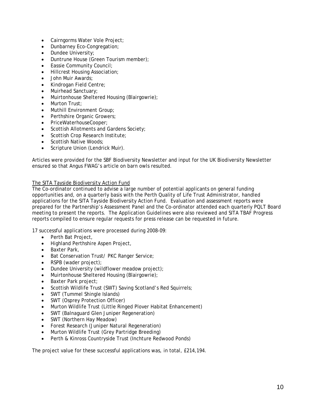- Cairngorms Water Vole Project;
- Dunbarney Eco-Congregation;
- Dundee University;
- Duntrune House (Green Tourism member);
- Eassie Community Council;
- Hillcrest Housing Association;
- John Muir Awards;
- Kindrogan Field Centre;
- Muirhead Sanctuary;
- Muirtonhouse Sheltered Housing (Blairgowrie);
- Murton Trust:
- Muthill Environment Group;
- Perthshire Organic Growers;
- PriceWaterhouseCooper;
- Scottish Allotments and Gardens Society;
- Scottish Crop Research Institute;
- Scottish Native Woods;
- Scripture Union (Lendrick Muir).

Articles were provided for the SBF Biodiversity Newsletter and input for the UK Biodiversity Newsletter ensured so that Angus FWAG's article on barn owls resulted.

#### *The SITA Tayside Biodiversity Action Fund*

The Co-ordinator continued to advise a large number of potential applicants on general funding opportunities and, on a quarterly basis with the Perth Quality of Life Trust Administrator, handled applications for the SITA Tayside Biodiversity Action Fund. Evaluation and assessment reports were prepared for the Partnership's Assessment Panel and the Co-ordinator attended each quarterly PQLT Board meeting to present the reports. The Application Guidelines were also reviewed and SITA TBAF Progress reports compiled to ensure regular requests for press release can be requested in future.

17 successful applications were processed during 2008-09:

- Perth Bat Project,
- Highland Perthshire Aspen Project,
- Baxter Park,
- Bat Conservation Trust/ PKC Ranger Service;
- RSPB (wader project);
- Dundee University (wildflower meadow project);
- Muirtonhouse Sheltered Housing (Blairgowrie);
- Baxter Park project;
- Scottish Wildlife Trust (SWT) Saving Scotland's Red Squirrels;
- SWT (Tummel Shingle Islands)
- SWT (Osprey Protection Officer)
- Murton Wildlife Trust (Little Ringed Plover Habitat Enhancement)
- SWT (Balnaguard Glen Juniper Regeneration)
- SWT (Northern Hay Meadow)
- Forest Research (Juniper Natural Regeneration)
- Murton Wildlife Trust (Grey Partridge Breeding)
- Perth & Kinross Countryside Trust (Inchture Redwood Ponds)

The project value for these successful applications was, in total, £214,194.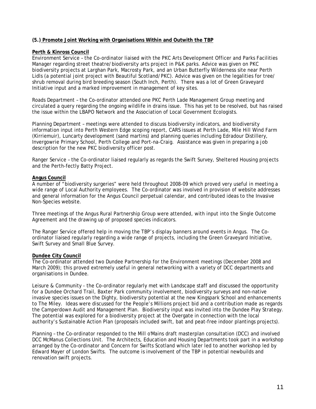#### **(5.) Promote Joint Working with Organisations Within and Outwith the TBP**

#### **Perth & Kinross Council**

Environment Service – the Co-ordinator liaised with the PKC Arts Development Officer and Parks Facilities Manager regarding street theatre/biodiversity arts project in P&K parks. Advice was given on PKC biodiversity projects at Larghan Park, Macrosty Park, and an Urban Butterfly Wilderness site near Perth Lidls (a potential joint project with Beautiful Scotland/PKC). Advice was given on the legalities for tree/ shrub removal during bird breeding season (South Inch, Perth). There was a lot of Green Graveyard Initiative input and a marked improvement in management of key sites.

Roads Department – the Co-ordinator attended one PKC Perth Lade Management Group meeting and circulated a query regarding the ongoing wildlife in drains issue. This has yet to be resolved, but has raised the issue within the LBAPO Network and the Association of Local Government Ecologists.

Planning Department – meetings were attended to discuss biodiversity indicators, and biodiversity information input into Perth Western Edge scoping report, CARS issues at Perth Lade, Mile Hill Wind Farm (Kirriemuir), Luncarty development (sand martins) and planning queries including Edradour Distillery, Invergowrie Primary School, Perth College and Port-na-Craig. Assistance was given in preparing a job description for the new PKC biodiversity officer post.

Ranger Service – the Co-ordinator liaised regularly as regards the Swift Survey, Sheltered Housing projects and the Perth-fectly Batty Project.

#### **Angus Council**

A number of "biodiversity surgeries" were held throughout 2008-09 which proved very useful in meeting a wide range of Local Authority employees. The Co-ordinator was involved in provision of website addresses and general information for the Angus Council perpetual calendar, and contributed ideas to the Invasive Non-Species website.

Three meetings of the Angus Rural Partnership Group were attended, with input into the Single Outcome Agreement and the drawing up of proposed species indicators.

The Ranger Service offered help in moving the TBP's display banners around events in Angus. The Coordinator liaised regularly regarding a wide range of projects, including the Green Graveyard Initiative, Swift Survey and Small Blue Survey.

#### **Dundee City Council**

The Co-ordinator attended two Dundee Partnership for the Environment meetings (December 2008 and March 2009); this proved extremely useful in general networking with a variety of DCC departments and organisations in Dundee.

Leisure & Community - the Co-ordinator regularly met with Landscape staff and discussed the opportunity for a Dundee Orchard Trail, Baxter Park community involvement, biodiversity surveys and non-native invasive species issues on the Dighty, biodiversity potential at the new Kingspark School and enhancements to The Miley. Ideas were discussed for the People's Millions project bid and a contribution made as regards the Camperdown Audit and Management Plan. Biodiversity input was invited into the Dundee Play Strategy. The potential was explored for a biodiversity project at the Overgate in connection with the local authority's Sustainable Action Plan (proposals included swift, bat and peat-free indoor plantings projects).

Planning – the Co-ordinator responded to the Mill o'Mains draft masterplan consultation (DCC) and involved DCC McManus Collections Unit. The Architects, Education and Housing Departments took part in a workshop arranged by the Co-ordinator and Concern for Swifts Scotland which later led to another workshop led by Edward Mayer of London Swifts. The outcome is involvement of the TBP in potential newbuilds and renovation swift projects.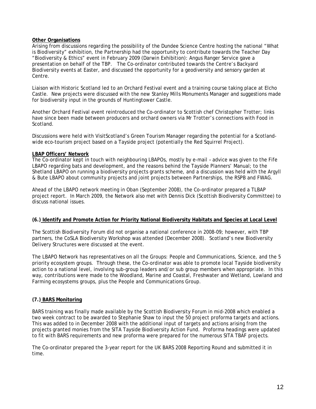#### **Other Organisations**

Arising from discussions regarding the possibility of the Dundee Science Centre hosting the national "What is Biodiversity" exhibition, the Partnership had the opportunity to contribute towards the Teacher Day "Biodiversity & Ethics" event in February 2009 (Darwin Exhibition): Angus Ranger Service gave a presentation on behalf of the TBP. The Co-ordinator contributed towards the Centre's Backyard Biodiversity events at Easter, and discussed the opportunity for a geodiversity and sensory garden at Centre.

Liaison with Historic Scotland led to an Orchard Festival event and a training course taking place at Elcho Castle. New projects were discussed with the new Stanley Mills Monuments Manager and suggestions made for biodiversity input in the grounds of Huntingtower Castle.

Another Orchard Festival event reintroduced the Co-ordinator to Scottish chef Christopher Trotter; links have since been made between producers and orchard owners via Mr Trotter's connections with Food in Scotland.

Discussions were held with VisitScotland's Green Tourism Manager regarding the potential for a Scotlandwide eco-tourism project based on a Tayside project (potentially the Red Squirrel Project).

#### **LBAP Officers' Network**

The Co-ordinator kept in touch with neighbouring LBAPOs, mostly by e-mail – advice was given to the Fife LBAPO regarding bats and development, and the reasons behind the Tayside Planners' Manual; to the Shetland LBAPO on running a biodiversity projects grants scheme, and a discussion was held with the Argyll & Bute LBAPO about community projects and joint projects between Partnerships, the RSPB and FWAG.

Ahead of the LBAPO network meeting in Oban (September 2008), the Co-ordinator prepared a TLBAP project report. In March 2009, the Network also met with Dennis Dick (Scottish Biodiversity Committee) to discuss national issues.

#### **(6.) Identify and Promote Action for Priority National Biodiversity Habitats and Species at Local Level**

The Scottish Biodiversity Forum did not organise a national conference in 2008-09; however, with TBP partners, the CoSLA Biodiversity Workshop was attended (December 2008). Scotland's new Biodiversity Delivery Structures were discussed at the event.

The LBAPO Network has representatives on all the Groups: People and Communications, Science, and the 5 priority ecosystem groups. Through these, the Co-ordinator was able to promote local Tayside biodiversity action to a national level, involving sub-group leaders and/or sub group members when appropriate. In this way, contributions were made to the Woodland, Marine and Coastal, Freshwater and Wetland, Lowland and Farming ecosystems groups, plus the People and Communications Group.

### **(7.) BARS Monitoring**

BARS training was finally made available by the Scottish Biodiversity Forum in mid-2008 which enabled a two week contract to be awarded to Stephanie Shaw to input the 50 project proforma targets and actions. This was added to in December 2008 with the additional input of targets and actions arising from the projects granted monies from the SITA Tayside Biodiversity Action Fund. Proforma headings were updated to fit with BARS requirements and new proforma were prepared for the numerous SITA TBAF projects.

The Co-ordinator prepared the 3-year report for the UK BARS 2008 Reporting Round and submitted it in time.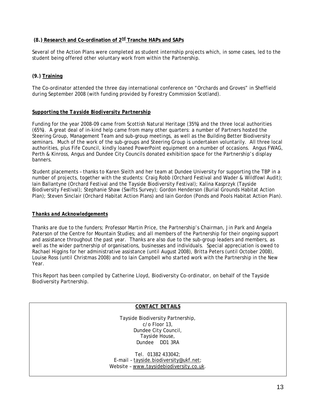#### **(8.) Research and Co-ordination of 2nd Tranche HAPs and SAPs**

Several of the Action Plans were completed as student internship projects which, in some cases, led to the student being offered other voluntary work from within the Partnership.

## **(9.) Training**

The Co-ordinator attended the three day international conference on "Orchards and Groves" in Sheffield during September 2008 (with funding provided by Forestry Commission Scotland).

#### *Supporting the Tayside Biodiversity Partnership*

Funding for the year 2008-09 came from Scottish Natural Heritage (35%) and the three local authorities (65%). A great deal of in-kind help came from many other quarters: a number of Partners hosted the Steering Group, Management Team and sub-group meetings, as well as the Building Better Biodiversity seminars. Much of the work of the sub-groups and Steering Group is undertaken voluntarily. All three local authorities, plus Fife Council, kindly loaned PowerPoint equipment on a number of occasions. Angus FWAG, Perth & Kinross, Angus and Dundee City Councils donated exhibition space for the Partnership's display banners.

Student placements – thanks to Karen Sleith and her team at Dundee University for supporting the TBP in a number of projects, together with the students: Craig Robb (Orchard Festival and Wader & Wildfowl Audit); Iain Ballantyne (Orchard Festival and the Tayside Biodiversity Festival); Kalina Kasprzyk (Tayside Biodiversity Festival); Stephanie Shaw (Swifts Survey); Gordon Henderson (Burial Grounds Habitat Action Plan); Steven Sinclair (Orchard Habitat Action Plans) and Iain Gordon (Ponds and Pools Habitat Action Plan).

#### *Thanks and Acknowledgements*

Thanks are due to the funders; Professor Martin Price, the Partnership's Chairman, Jin Park and Angela Paterson of the Centre for Mountain Studies; and all members of the Partnership for their ongoing support and assistance throughout the past year. Thanks are also due to the sub-group leaders and members, as well as the wider partnership of organisations, businesses and individuals. Special appreciation is owed to Rachael Higgins for her administrative assistance (until August 2008), Britta Peters (until October 2008), Louise Ross (until Christmas 2008) and to Iain Campbell who started work with the Partnership in the New Year.

This Report has been compiled by Catherine Lloyd, Biodiversity Co-ordinator, on behalf of the Tayside Biodiversity Partnership.

#### *CONTACT DETAILS*

Tayside Biodiversity Partnership, c/o Floor 13, Dundee City Council, Tayside House, Dundee DD1 3RA

Tel. 01382 433042; E-mail – [tayside.biodiversity@ukf.net](mailto:tayside.biodiversity@ukf.net); Website - [www.taysidebiodiversity.co.uk](http://www.taysidebiodiversity.co.uk/).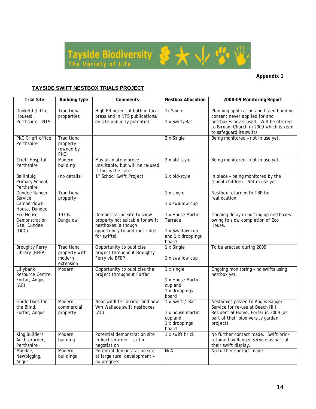

## **Appendix 1**

## **TAYSIDE SWIFT NESTBOX TRIALS PROJECT**

| <b>Trial Site</b>                                       | <b>Building type</b>                                | Comments                                                                                                                              | <b>Nestbox Allocation</b>                                                    | 2008-09 Monitoring Report                                                                                                                                                                |
|---------------------------------------------------------|-----------------------------------------------------|---------------------------------------------------------------------------------------------------------------------------------------|------------------------------------------------------------------------------|------------------------------------------------------------------------------------------------------------------------------------------------------------------------------------------|
| Dunkeld (Little<br>Houses),<br>Perthshire - NTS         | Traditional<br>properties                           | High PR potential both in local<br>press and in NTS publications/<br>on site publicity potential                                      | 1x Single<br>1 x Swift/Bat                                                   | Planning application and listed building<br>consent never applied for and<br>nestboxes never used. Will be offered<br>to Birnam Church in 2009 which is keen<br>to safeguard its swifts. |
| <b>PKC Crieff office</b><br>Perthshire                  | Traditional<br>property<br>(owned by<br>PKC)        |                                                                                                                                       | 2 x Single                                                                   | Being monitored - not in use yet.                                                                                                                                                        |
| <b>Crieff Hospital</b><br>Perthshire                    | Modern<br>building                                  | May ultimately prove<br>unsuitable, but will be re-used<br>if this is the case.                                                       | 2 x old-style                                                                | Being monitored - not in use yet.                                                                                                                                                        |
| Ballinluig<br>Primary School,<br>Perthshire             | (no details)                                        | 1 <sup>st</sup> School Swift Project                                                                                                  | 1 x old-style                                                                | In place - being monitored by the<br>school children. Not in use yet.                                                                                                                    |
| Dundee Ranger<br>Service<br>Camperdown<br>House, Dundee | Traditional<br>property                             |                                                                                                                                       | 1 x single<br>1 x swallow cup                                                | Nestbox returned to TBP for<br>reallocation.                                                                                                                                             |
| Eco House<br>Demonstration<br>Site, Dundee<br>(DCC)     | 1970s<br>Bungalow                                   | Demonstration site to show<br>property not suitable for swift<br>nestboxes (although<br>opportunity to add roof ridge<br>for swifts). | 1 x House Martin<br>Terrace<br>1 x Swallow cup<br>and 1 x droppings<br>board | Ongoing delay in putting up nestboxes<br>owing to slow completion of Eco<br>House.                                                                                                       |
| <b>Broughty Ferry</b><br>Library (BFEP)                 | Traditional<br>property with<br>modern<br>extension | Opportunity to publicise<br>project throughout Broughty<br>Ferry via BFEP                                                             | 1 x Single<br>1 x swallow cup                                                | To be erected during 2009.                                                                                                                                                               |
| Lillybank<br>Resource Centre,<br>Forfar, Angus<br>(AC)  | Modern                                              | Opportunity to publicise the<br>project throughout Forfar                                                                             | 1 x single<br>1 x House Martin<br>cup and<br>1 x droppings<br>board          | Ongoing monitoring - no swifts using<br>nestbox yet.                                                                                                                                     |
| Guide Dogs for<br>the Blind,<br>Forfar, Angus           | Modern<br>commercial<br>property                    | Near wildlife corridor and new<br>Wm Wallace swift nestboxes<br>(AC)                                                                  | 1 x Swift / Bat<br>1 x house martin<br>cup and<br>1 x droppings<br>board     | Nestboxes passed to Angus Ranger<br>Service for re-use at Beech Hill<br>Residential Home, Forfar in 2009 (as<br>part of their biodiversity garden<br>project).                           |
| <b>King Builders</b><br>Auchterarder,<br>Perthshire     | Modern<br>building                                  | Potential demonstration site<br>in Auchterarder - still in<br>negotiation                                                             | 1 x swift brick                                                              | No further contact made. Swift brick<br>retained by Ranger Service as part of<br>their swift display.                                                                                    |
| Monikie,<br>Newbigging,<br>Angus                        | Modern<br>buildings                                 | Potential demonstration site<br>at large rural development -<br>no progress                                                           | N/A                                                                          | No further contact made.                                                                                                                                                                 |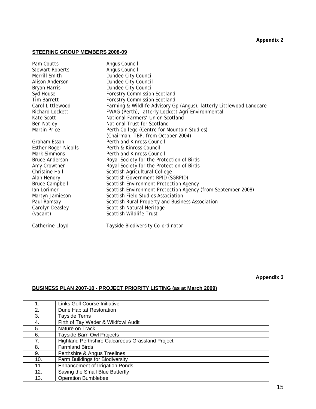#### **Appendix 2**

## **STEERING GROUP MEMBERS 2008-09**

| Pam Coutts                  | Angus Council                                                        |
|-----------------------------|----------------------------------------------------------------------|
| <b>Stewart Roberts</b>      | Angus Council                                                        |
| Merrill Smith               | Dundee City Council                                                  |
| Alison Anderson             | Dundee City Council                                                  |
| Bryan Harris                | Dundee City Council                                                  |
| Syd House                   | <b>Forestry Commission Scotland</b>                                  |
| <b>Tim Barrett</b>          | <b>Forestry Commission Scotland</b>                                  |
| Carol Littlewood            | Farming & Wildlife Advisory Gp (Angus), latterly Littlewood Landcare |
| Richard Lockett             | FWAG (Perth), latterly Lockett Agri-Environmental                    |
| Kate Scott                  | National Farmers' Union Scotland                                     |
| Ben Notley                  | National Trust for Scotland                                          |
| <b>Martin Price</b>         | Perth College (Centre for Mountain Studies)                          |
|                             | (Chairman, TBP, from October 2004)                                   |
| Graham Esson                | Perth and Kinross Council                                            |
| <b>Esther Roger-Nicolls</b> | Perth & Kinross Council                                              |
| Mark Simmons                | Perth and Kinross Council                                            |
| <b>Bruce Anderson</b>       | Royal Society for the Protection of Birds                            |
| Amy Crowther                | Royal Society for the Protection of Birds                            |
| <b>Christine Hall</b>       | Scottish Agricultural College                                        |
| Alan Hendry                 | Scottish Government RPID (SGRPID)                                    |
| <b>Bruce Campbell</b>       | Scottish Environment Protection Agency                               |
| lan Lorimer                 | Scottish Environment Protection Agency (from September 2008)         |
| Martyn Jamieson             | Scottish Field Studies Association                                   |
| Paul Ramsay                 | Scottish Rural Property and Business Association                     |
| Carolyn Deasley             | Scottish Natural Heritage                                            |
| (vacant)                    | Scottish Wildlife Trust                                              |
|                             |                                                                      |

Catherine Lloyd Tayside Biodiversity Co-ordinator

## **Appendix 3**

## **BUSINESS PLAN 2007-10 - PROJECT PRIORITY LISTING (as at March 2009)**

|     | Links Golf Course Initiative                     |
|-----|--------------------------------------------------|
| 2.  | Dune Habitat Restoration                         |
| 3.  | <b>Tayside Terns</b>                             |
| 4.  | Firth of Tay Wader & Wildfowl Audit              |
| 5.  | Nature on Track                                  |
| 6.  | <b>Tayside Barn Owl Projects</b>                 |
| 7.  | Highland Perthshire Calcareous Grassland Project |
| 8.  | <b>Farmland Birds</b>                            |
| 9.  | Perthshire & Angus Treelines                     |
| 10. | Farm Buildings for Biodiversity                  |
| 11. | <b>Enhancement of Irrigation Ponds</b>           |
| 12. | Saving the Small Blue Butterfly                  |
| 13. | <b>Operation Bumblebee</b>                       |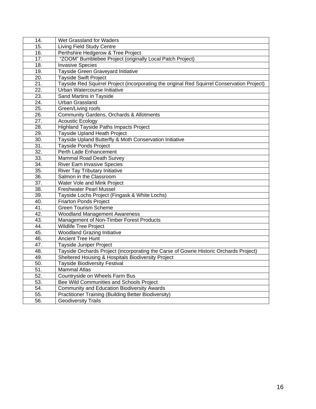| 14.               | Wet Grassland for Waders                                                                    |
|-------------------|---------------------------------------------------------------------------------------------|
| 15.               | <b>Living Field Study Centre</b>                                                            |
| 16.               | Perthshire Hedgerow & Tree Project                                                          |
| 17.               | "ZOOM" Bumblebee Project (originally Local Patch Project)                                   |
| 18.               | <b>Invasive Species</b>                                                                     |
| 19.               | Tayside Green Graveyard Initiative                                                          |
| 20.               | Tayside Swift Project                                                                       |
| $\overline{21}$ . | Tayside Red Squirrel Project (incorporating the original Red Squirrel Conservation Project) |
| $\overline{22}$ . | Urban Watercourse Initiative                                                                |
| 23.               | Sand Martins in Tayside                                                                     |
| 24.               | <b>Urban Grassland</b>                                                                      |
| $\overline{25}$ . | Green/Living roofs                                                                          |
| $\overline{26}$ . | Community Gardens, Orchards & Allotments                                                    |
| 27.               | <b>Acoustic Ecology</b>                                                                     |
| 28.               | <b>Highland Tayside Paths Impacts Project</b>                                               |
| 29.               | Tayside Upland Heath Project                                                                |
| $\overline{30}$ . | Tayside Upland Butterfly & Moth Conservation Initiative                                     |
| 31.               | <b>Tayside Ponds Project</b>                                                                |
| 32.               | Perth Lade Enhancement                                                                      |
| 33.               | Mammal Road Death Survey                                                                    |
| 34.               | <b>River Earn Invasive Species</b>                                                          |
| 35.               | <b>River Tay Tributary Initiative</b>                                                       |
| $\overline{36}$ . | Salmon in the Classroom                                                                     |
| $\overline{37}$ . | Water Vole and Mink Project                                                                 |
| $\overline{38}$ . | <b>Freshwater Pearl Mussel</b>                                                              |
| 39.               | Tayside Lochs Project (Fingask & White Lochs)                                               |
| 40.               | Friarton Ponds Project                                                                      |
| $\overline{41}$ . | <b>Green Tourism Scheme</b>                                                                 |
| 42.               | <b>Woodland Management Awareness</b>                                                        |
| 43.               | Management of Non-Timber Forest Products                                                    |
| 44.               | <b>Wildlife Tree Project</b>                                                                |
| 45.               | <b>Woodland Grazing Initiative</b>                                                          |
| 46.               | <b>Ancient Tree Hunt</b>                                                                    |
| 47.               | Tayside Juniper Project                                                                     |
| 48.               | Tayside Orchards Project (incorporating the Carse of Gowrie Historic Orchards Project)      |
| 49.               | Sheltered Housing & Hospitals Biodiversity Project                                          |
| 50.               | <b>Tayside Biodiversity Festival</b>                                                        |
| 51.               | <b>Mammal Atlas</b>                                                                         |
| 52.               | Countryside on Wheels Farm Bus                                                              |
| 53.               | Bee Wild Communities and Schools Project                                                    |
| 54.               | <b>Community and Education Biodiversity Awards</b>                                          |
| 55.               | Practitioner Training (Building Better Biodiversity)                                        |
| 56.               | <b>Geodiversity Trails</b>                                                                  |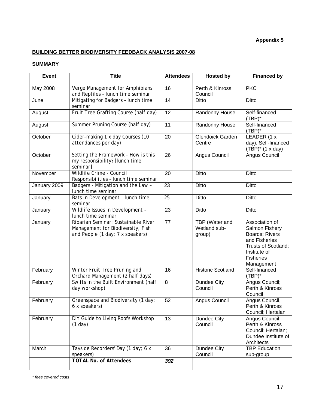## **Appendix 5**

## **BUILDING BETTER BIODIVERSITY FEEDBACK ANALYSIS 2007-08**

## **SUMMARY**

| <b>Event</b> | <b>Title</b>                                                                                                 | <b>Attendees</b> | <b>Hosted by</b>                         | <b>Financed by</b>                                                                                                                           |
|--------------|--------------------------------------------------------------------------------------------------------------|------------------|------------------------------------------|----------------------------------------------------------------------------------------------------------------------------------------------|
| May 2008     | Verge Management for Amphibians<br>and Reptiles - lunch time seminar                                         | 16               | Perth & Kinross<br>Council               | <b>PKC</b>                                                                                                                                   |
| June         | Mitigating for Badgers - lunch time<br>seminar                                                               | 14               | Ditto                                    | Ditto                                                                                                                                        |
| August       | Fruit Tree Grafting Course (half day)                                                                        | 12               | Randonny House                           | Self-financed<br>$(TBP)^*$                                                                                                                   |
| August       | Summer Pruning Course (half day)                                                                             | 11               | Randonny House                           | Self-financed<br>$(TBP)^*$                                                                                                                   |
| October      | Cider-making 1 x day Courses (10<br>attendances per day)                                                     | $\overline{20}$  | <b>Glendoick Garden</b><br>Centre        | LEADER (1 x<br>day); Self-financed<br>$(TBP)^*$ (1 x day)                                                                                    |
| October      | Setting the Framework - How is this<br>my responsibility? [lunch time<br>seminar]                            | 26               | Angus Council                            | Angus Council                                                                                                                                |
| November     | Wildlife Crime - Council<br>Responsibilities - lunch time seminar                                            | 20               | Ditto                                    | <b>Ditto</b>                                                                                                                                 |
| January 2009 | Badgers - Mitigation and the Law -<br>lunch time seminar                                                     | 23               | <b>Ditto</b>                             | <b>Ditto</b>                                                                                                                                 |
| January      | Bats in Development - lunch time<br>seminar                                                                  | $\overline{25}$  | <b>Ditto</b>                             | <b>Ditto</b>                                                                                                                                 |
| January      | Wildlife Issues in Development -<br>lunch time seminar                                                       | 23               | Ditto                                    | <b>Ditto</b>                                                                                                                                 |
| January      | Riparian Seminar: Sustainable River<br>Management for Biodiversity, Fish<br>and People (1 day; 7 x speakers) | 77               | TBP (Water and<br>Wetland sub-<br>group) | Association of<br>Salmon Fishery<br>Boards; Rivers<br>and Fisheries<br>Trusts of Scotland;<br>Institute of<br><b>Fisheries</b><br>Management |
| February     | Winter Fruit Tree Pruning and<br>Orchard Management (2 half days)                                            | 16               | <b>Historic Scotland</b>                 | Self-financed<br>$(TBP)^*$                                                                                                                   |
| February     | Swifts in the Built Environment (half<br>day workshop)                                                       | 8                | Dundee City<br>Council                   | Angus Council;<br>Perth & Kinross<br>Council                                                                                                 |
| February     | Greenspace and Biodiversity (1 day;<br>6 x speakers)                                                         | 52               | Angus Council                            | Angus Council,<br>Perth & Kinross<br>Council; Hertalan                                                                                       |
| February     | DIY Guide to Living Roofs Workshop<br>(1 day)                                                                | $\overline{13}$  | Dundee City<br>Council                   | Angus Council;<br>Perth & Kinross<br>Council; Hertalan;<br>Dundee Institute of<br>Architects                                                 |
| March        | Tayside Recorders' Day (1 day; 6 x<br>speakers)                                                              | 36               | Dundee City<br>Council                   | <b>TBP Education</b><br>sub-group                                                                                                            |
|              | <b>TOTAL No. of Attendees</b>                                                                                | 392              |                                          |                                                                                                                                              |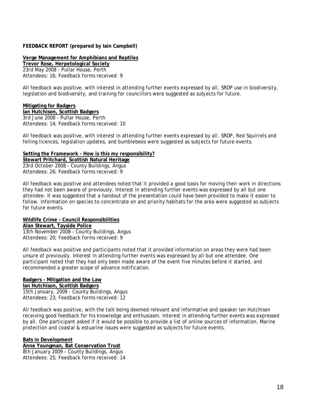#### **FEEDBACK REPORT (prepared by Iain Campbell)**

**Verge Management for Amphibians and Reptiles Trevor Rose, Herpetological Society**  *23rd May 2008 -* Pullar House, Perth Attendees: 16; Feedback forms received: 9

All feedback was positive, with interest in attending further events expressed by all. SRDP use in biodiversity, legislation and biodiversity, and training for councillors were suggested as subjects for future.

#### **Mitigating for Badgers**

**Ian Hutchison, Scottish Badgers** *3rd June 2008 -* Pullar House, Perth Attendees: 14; Feedback forms received: 10

All feedback was positive, with interest in attending further events expressed by all. SRDP, Red Squirrels and felling licences, legislation updates, and bumblebees were suggested as subjects for future events.

#### **Setting the Framework - How is this my responsibility?**

**Stewart Pritchard, Scottish Natural Heritage** *23rd October 2008 -* County Buildings, Angus Attendees: 26; Feedback forms received: 9

All feedback was positive and attendees noted that it provided a good basis for moving their work in directions they had not been aware of previously. Interest in attending further events was expressed by all but one attendee. It was suggested that a handout of the presentation could have been provided to make it easier to follow. Information on species to concentrate on and priority habitats for the area were suggested as subjects for future events.

**Wildlife Crime - Council Responsibilities Alan Stewart, Tayside Police** *13th November 2008 -* County Buildings, Angus Attendees: 20; Feedback forms received: 9

All feedback was positive and participants noted that it provided information on areas they were had been unsure of previously. Interest in attending further events was expressed by all but one attendee. One participant noted that they had only been made aware of the event five minutes before it started, and recommended a greater scope of advance notification.

#### **Badgers - Mitigation and the Law Ian Hutchison, Scottish Badgers**

*15th January, 2009 -* County Buildings, Angus Attendees: 23; Feedback forms received: 12

All feedback was positive, with the talk being deemed relevant and informative and speaker Ian Hutchison receiving good feedback for his knowledge and enthusiasm. Interest in attending further events was expressed by all. One participant asked if it would be possible to provide a list of online sources of information. Marine protection and coastal & estuarine issues were suggested as subjects for future events.

#### **Bats in Development**

**Anne Youngman, Bat Conservation Trust** *8th January 2009 -* County Buildings, Angus Attendees: 25; Feedback forms received: 14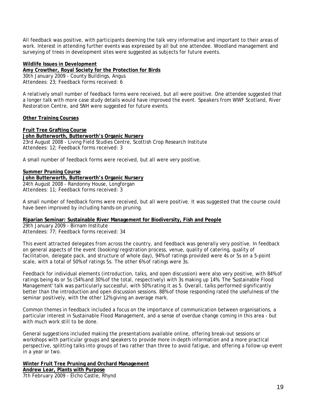All feedback was positive, with participants deeming the talk very informative and important to their areas of work. Interest in attending further events was expressed by all but one attendee. Woodland management and surveying of trees in development sites were suggested as subjects for future events.

#### **Wildlife Issues in Development**

**Amy Crowther, Royal Society for the Protection for Birds** *30th January 2009 -* County Buildings, Angus Attendees: 23; Feedback forms received: 6

A relatively small number of feedback forms were received, but all were positive. One attendee suggested that a longer talk with more case study details would have improved the event. Speakers from WWF Scotland, River Restoration Centre, and SNH were suggested for future events.

#### **Other Training Courses**

#### **Fruit Tree Grafting Course**

**John Butterworth, Butterworth's Organic Nursery** *23rd August 2008 -* Living Field Studies Centre, Scottish Crop Research Institute Attendees: 12; Feedback forms received: 3

A small number of feedback forms were received, but all were very positive.

#### **Summer Pruning Course**

**John Butterworth, Butterworth's Organic Nursery** *24th August 2008 -* Randonny House, Longforgan Attendees: 11; Feedback forms received: 3

A small number of feedback forms were received, but all were positive. It was suggested that the course could have been improved by including hands-on pruning.

#### **Riparian Seminar: Sustainable River Management for Biodiversity, Fish and People**

*29th January 2009 -* Birnam Institute Attendees: 77; Feedback forms received: 34

This event attracted delegates from across the country, and feedback was generally very positive. In feedback on general aspects of the event (booking/registration process, venue, quality of catering, quality of facilitation, delegate pack, and structure of whole day), 94% of ratings provided were 4s or 5s on a 5-point scale, with a total of 50% of ratings 5s. The other 6% of ratings were 3s.

Feedback for individual elements (introduction, talks, and open discussion) were also very positive, with 84% of ratings being 4s or 5s (54% and 30% of the total, respectively) with 3s making up 14%. The 'Sustainable Flood Management' talk was particularly successful, with 50% rating it as 5. Overall, talks performed significantly better than the introduction and open discussion sessions. 88% of those responding rated the usefulness of the seminar positively, with the other 12% giving an average mark.

Common themes in feedback included a focus on the importance of communication between organisations, a particular interest in Sustainable Flood Management, and a sense of overdue change coming in this area - but with much work still to be done.

General suggestions included making the presentations available online, offering break-out sessions or workshops with particular groups and speakers to provide more in-depth information and a more practical perspective, splitting talks into groups of two rather than three to avoid fatigue, and offering a follow-up event in a year or two.

**Winter Fruit Tree Pruning and Orchard Management Andrew Lear, Plants with Purpose** *7th February 2009 -* Elcho Castle, Rhynd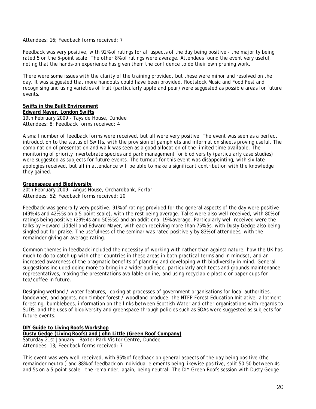#### Attendees: 16; Feedback forms received: 7

Feedback was very positive, with 92% of ratings for all aspects of the day being positive - the majority being rated 5 on the 5-point scale. The other 8% of ratings were average. Attendees found the event very useful, noting that the hands-on experience has given them the confidence to do their own pruning work.

There were some issues with the clarity of the training provided, but these were minor and resolved on the day. It was suggested that more handouts could have been provided. Rootstock Music and Food Fest and recognising and using varieties of fruit (particularly apple and pear) were suggested as possible areas for future events.

#### **Swifts in the Built Environment**

**Edward Mayer, London Swifts** *19th February 2009 -* Tayside House, Dundee Attendees: 8; Feedback forms received: 4

A small number of feedback forms were received, but all were very positive. The event was seen as a perfect introduction to the status of Swifts, with the provision of pamphlets and information sheets proving useful. The combination of presentation and walk was seen as a good allocation of the limited time available. The monitoring of priority invertebrate species and park management for biodiversity (particularly case studies) were suggested as subjects for future events. The turnout for this event was disappointing, with six late apologies received, but all in attendance will be able to make a significant contribution with the knowledge they gained.

#### **Greenspace and Biodiversity**

*20th February 2009 -* Angus House, Orchardbank, Forfar Attendees: 52; Feedback forms received: 20

Feedback was generally very positive. 91% of ratings provided for the general aspects of the day were positive (49% 4s and 42% 5s on a 5-point scale), with the rest being average. Talks were also well-received, with 80% of ratings being positive (29% 4s and 50% 5s) and an additional 19% average. Particularly well-received were the talks by Howard Liddell and Edward Mayer, with each receiving more than 75% 5s, with Dusty Gedge also being singled out for praise. The usefulness of the seminar was rated positively by 83% of attendees, with the remainder giving an average rating.

Common themes in feedback included the necessity of working with rather than against nature, how the UK has much to do to catch up with other countries in these areas in both practical terms and in mindset, and an increased awareness of the pragmatic benefits of planning and developing with biodiversity in mind. General suggestions included doing more to bring in a wider audience, particularly architects and grounds maintenance representatives, making the presentations available online, and using recyclable plastic or paper cups for tea/coffee in future.

Designing wetland / water features, looking at processes of government organisations for local authorities, landowner, and agents, non-timber forest / woodland produce, the NTFP Forest Education Initiative, allotment foresting, bumblebees, information on the links between Scottish Water and other organisations with regards to SUDS, and the uses of biodiversity and greenspace through policies such as SOAs were suggested as subjects for future events.

#### **DIY Guide to Living Roofs Workshop**

**Dusty Gedge (Living Roofs) and John Little (Green Roof Company)** *Saturday 21st January -* Baxter Park Visitor Centre, Dundee Attendees: 13; Feedback forms received: 7

This event was very well-received, with 95% of feedback on general aspects of the day being positive (the remainder neutral) and 88% of feedback on individual elements being likewise positive, split 50-50 between 4s and 5s on a 5-point scale - the remainder, again, being neutral. The DIY Green Roofs session with Dusty Gedge